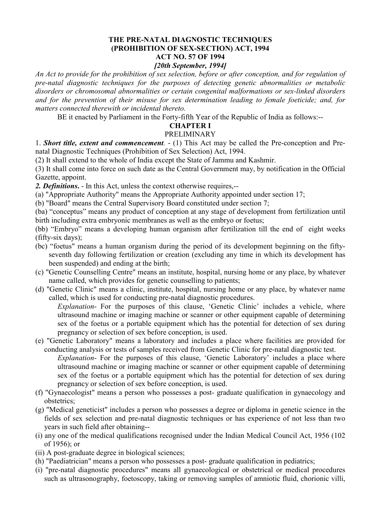# **THE PRE-NATAL DIAGNOSTIC TECHNIQUES (PROHIBITION OF SEX-SECTION) ACT, 1994 ACT NO. 57 OF 1994**

# *[20th September, 1994]*

*An Act to provide for the prohibition of sex selection, before or after conception, and for regulation of pre-natal diagnostic techniques for the purposes of detecting genetic abnormalities or metabolic disorders or chromosomal abnormalities or certain congenital malformations or sex-linked disorders and for the prevention of their misuse for sex determination leading to female foeticide; and, for matters connected therewith or incidental thereto.* 

BE it enacted by Parliament in the Forty-fifth Year of the Republic of India as follows:--

### **CHAPTER I**

### PRELIMINARY

1. *Short title, extent and commencement.* - (1) This Act may be called the Pre-conception and Prenatal Diagnostic Techniques (Prohibition of Sex Selection) Act, 1994.

(2) It shall extend to the whole of India except the State of Jammu and Kashmir.

(3) It shall come into force on such date as the Central Government may, by notification in the Official Gazette, appoint.

*2. Definitions***.** - In this Act, unless the context otherwise requires,--

(a) "Appropriate Authority" means the Appropriate Authority appointed under section 17;

(b) "Board" means the Central Supervisory Board constituted under section 7;

(ba) "conceptus" means any product of conception at any stage of development from fertilization until birth including extra embryonic membranes as well as the embryo or foetus;

(bb) "Embryo" means a developing human organism after fertilization till the end of eight weeks (fifty-six days);

- (bc) "foetus" means a human organism during the period of its development beginning on the fiftyseventh day following fertilization or creation (excluding any time in which its development has been suspended) and ending at the birth;
- (c) "Genetic Counselling Centre" means an institute, hospital, nursing home or any place, by whatever name called, which provides for genetic counselling to patients;
- (d) "Genetic Clinic" means a clinic, institute, hospital, nursing home or any place, by whatever name called, which is used for conducting pre-natal diagnostic procedures.

*Explanation*- For the purposes of this clause, 'Genetic Clinic' includes a vehicle, where ultrasound machine or imaging machine or scanner or other equipment capable of determining sex of the foetus or a portable equipment which has the potential for detection of sex during pregnancy or selection of sex before conception, is used.

(e) "Genetic Laboratory" means a laboratory and includes a place where facilities are provided for conducting analysis or tests of samples received from Genetic Clinic for pre-natal diagnostic test.

*Explanation*- For the purposes of this clause, 'Genetic Laboratory' includes a place where ultrasound machine or imaging machine or scanner or other equipment capable of determining sex of the foetus or a portable equipment which has the potential for detection of sex during pregnancy or selection of sex before conception, is used.

- (f) "Gynaecologist" means a person who possesses a post- graduate qualification in gynaecology and obstetrics;
- (g) "Medical geneticist" includes a person who possesses a degree or diploma in genetic science in the fields of sex selection and pre-natal diagnostic techniques or has experience of not less than two years in such field after obtaining--
- (i) any one of the medical qualifications recognised under the Indian Medical Council Act, 1956 (102 of 1956); or
- (ii) A post-graduate degree in biological sciences;
- (h) "Paediatrician" means a person who possesses a post- graduate qualification in pediatrics;
- (i) "pre-natal diagnostic procedures" means all gynaecological or obstetrical or medical procedures such as ultrasonography, foetoscopy, taking or removing samples of amniotic fluid, chorionic villi,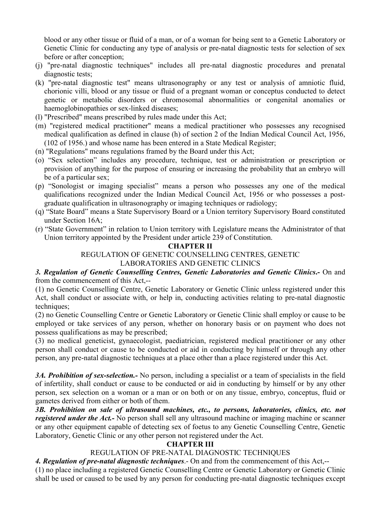blood or any other tissue or fluid of a man, or of a woman for being sent to a Genetic Laboratory or Genetic Clinic for conducting any type of analysis or pre-natal diagnostic tests for selection of sex before or after conception;

- (j) "pre-natal diagnostic techniques" includes all pre-natal diagnostic procedures and prenatal diagnostic tests;
- (k) "pre-natal diagnostic test" means ultrasonography or any test or analysis of amniotic fluid, chorionic villi, blood or any tissue or fluid of a pregnant woman or conceptus conducted to detect genetic or metabolic disorders or chromosomal abnormalities or congenital anomalies or haemoglobinopathies or sex-linked diseases;
- (l) "Prescribed" means prescribed by rules made under this Act;
- (m) "registered medical practitioner" means a medical practitioner who possesses any recognised medical qualification as defined in clause (h) of section 2 of the Indian Medical Council Act, 1956, (102 of 1956.) and whose name has been entered in a State Medical Register;
- (n) "Regulations" means regulations framed by the Board under this Act;
- (o) "Sex selection" includes any procedure, technique, test or administration or prescription or provision of anything for the purpose of ensuring or increasing the probability that an embryo will be of a particular sex;
- (p) "Sonologist or imaging specialist" means a person who possesses any one of the medical qualifications recognized under the Indian Medical Council Act, 1956 or who possesses a postgraduate qualification in ultrasonography or imaging techniques or radiology;
- (q) "State Board" means a State Supervisory Board or a Union territory Supervisory Board constituted under Section 16A;
- (r) "State Government" in relation to Union territory with Legislature means the Administrator of that Union territory appointed by the President under article 239 of Constitution.

### **CHAPTER II**

## REGULATION OF GENETIC COUNSELLING CENTRES, GENETIC

### LABORATORIES AND GENETIC CLINICS

## *3. Regulation of Genetic Counselling Centres, Genetic Laboratories and Genetic Clinics***.-** On and from the commencement of this Act,--

(1) no Genetic Counselling Centre, Genetic Laboratory or Genetic Clinic unless registered under this Act, shall conduct or associate with, or help in, conducting activities relating to pre-natal diagnostic techniques;

(2) no Genetic Counselling Centre or Genetic Laboratory or Genetic Clinic shall employ or cause to be employed or take services of any person, whether on honorary basis or on payment who does not possess qualifications as may be prescribed;

(3) no medical geneticist, gynaecologist, paediatrician, registered medical practitioner or any other person shall conduct or cause to be conducted or aid in conducting by himself or through any other person, any pre-natal diagnostic techniques at a place other than a place registered under this Act.

*3A. Prohibition of sex-selection.-* No person, including a specialist or a team of specialists in the field of infertility, shall conduct or cause to be conducted or aid in conducting by himself or by any other person, sex selection on a woman or a man or on both or on any tissue, embryo, conceptus, fluid or gametes derived from either or both of them.

*3B. Prohibition on sale of ultrasound machines, etc., to persons, laboratories, clinics, etc. not registered under the Act.-* No person shall sell any ultrasound machine or imaging machine or scanner or any other equipment capable of detecting sex of foetus to any Genetic Counselling Centre, Genetic Laboratory, Genetic Clinic or any other person not registered under the Act.

### **CHAPTER III**

# REGULATION OF PRE-NATAL DIAGNOSTIC TECHNIQUES

*4. Regulation of pre-natal diagnostic techniques*.- On and from the commencement of this Act,--

(1) no place including a registered Genetic Counselling Centre or Genetic Laboratory or Genetic Clinic shall be used or caused to be used by any person for conducting pre-natal diagnostic techniques except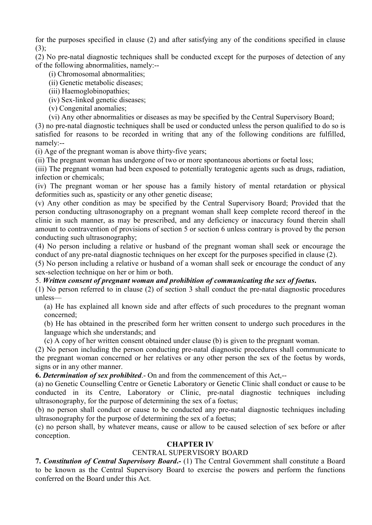for the purposes specified in clause (2) and after satisfying any of the conditions specified in clause  $(3)$ ;

(2) No pre-natal diagnostic techniques shall be conducted except for the purposes of detection of any of the following abnormalities, namely:--

(i) Chromosomal abnormalities;

(ii) Genetic metabolic diseases;

(iii) Haemoglobinopathies;

(iv) Sex-linked genetic diseases;

(v) Congenital anomalies;

(vi) Any other abnormalities or diseases as may be specified by the Central Supervisory Board;

(3) no pre-natal diagnostic techniques shall be used or conducted unless the person qualified to do so is satisfied for reasons to be recorded in writing that any of the following conditions are fulfilled, namely:--

(i) Age of the pregnant woman is above thirty-five years;

(ii) The pregnant woman has undergone of two or more spontaneous abortions or foetal loss;

(iii) The pregnant woman had been exposed to potentially teratogenic agents such as drugs, radiation, infection or chemicals;

(iv) The pregnant woman or her spouse has a family history of mental retardation or physical deformities such as, spasticity or any other genetic disease;

(v) Any other condition as may be specified by the Central Supervisory Board; Provided that the person conducting ultrasonography on a pregnant woman shall keep complete record thereof in the clinic in such manner, as may be prescribed, and any deficiency or inaccuracy found therein shall amount to contravention of provisions of section 5 or section 6 unless contrary is proved by the person conducting such ultrasonography;

(4) No person including a relative or husband of the pregnant woman shall seek or encourage the conduct of any pre-natal diagnostic techniques on her except for the purposes specified in clause (2).

(5) No person including a relative or husband of a woman shall seek or encourage the conduct of any sex-selection technique on her or him or both.

# 5. *Written consent of pregnant woman and prohibition of communicating the sex of foetus***.**

(1) No person referred to in clause (2) of section 3 shall conduct the pre-natal diagnostic procedures unless—

(a) He has explained all known side and after effects of such procedures to the pregnant woman concerned;

(b) He has obtained in the prescribed form her written consent to undergo such procedures in the language which she understands; and

(c) A copy of her written consent obtained under clause (b) is given to the pregnant woman.

(2) No person including the person conducting pre-natal diagnostic procedures shall communicate to the pregnant woman concerned or her relatives or any other person the sex of the foetus by words, signs or in any other manner.

**6.** *Determination of sex prohibited*.- On and from the commencement of this Act,--

(a) no Genetic Counselling Centre or Genetic Laboratory or Genetic Clinic shall conduct or cause to be conducted in its Centre, Laboratory or Clinic, pre-natal diagnostic techniques including ultrasonography, for the purpose of determining the sex of a foetus;

(b) no person shall conduct or cause to be conducted any pre-natal diagnostic techniques including ultrasonography for the purpose of determining the sex of a foetus;

(c) no person shall, by whatever means, cause or allow to be caused selection of sex before or after conception.

# **CHAPTER IV**

# CENTRAL SUPERVISORY BOARD

**7.** *Constitution of Central Supervisory Board***.-** (1) The Central Government shall constitute a Board to be known as the Central Supervisory Board to exercise the powers and perform the functions conferred on the Board under this Act.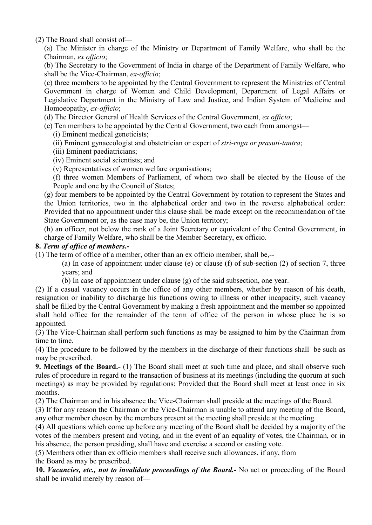(2) The Board shall consist of—

(a) The Minister in charge of the Ministry or Department of Family Welfare, who shall be the Chairman, *ex officio*;

(b) The Secretary to the Government of India in charge of the Department of Family Welfare, who shall be the Vice-Chairman, *ex-officio*;

(c) three members to be appointed by the Central Government to represent the Ministries of Central Government in charge of Women and Child Development, Department of Legal Affairs or Legislative Department in the Ministry of Law and Justice, and Indian System of Medicine and Homoeopathy, *ex-officio*;

(d) The Director General of Health Services of the Central Government, *ex officio*;

(e) Ten members to be appointed by the Central Government, two each from amongst—

(i) Eminent medical geneticists;

- (ii) Eminent gynaecologist and obstetrician or expert of *stri-roga or prasuti-tantra*;
- (iii) Eminent paediatricians;
- (iv) Eminent social scientists; and
- (v) Representatives of women welfare organisations;

(f) three women Members of Parliament, of whom two shall be elected by the House of the People and one by the Council of States;

(g) four members to be appointed by the Central Government by rotation to represent the States and the Union territories, two in the alphabetical order and two in the reverse alphabetical order: Provided that no appointment under this clause shall be made except on the recommendation of the State Government or, as the case may be, the Union territory;

(h) an officer, not below the rank of a Joint Secretary or equivalent of the Central Government, in charge of Family Welfare, who shall be the Member-Secretary, ex officio.

# **8.** *Term of office of members***.-**

(1) The term of office of a member, other than an ex officio member, shall be,--

(a) In case of appointment under clause (e) or clause (f) of sub-section (2) of section 7, three years; and

(b) In case of appointment under clause (g) of the said subsection, one year.

(2) If a casual vacancy occurs in the office of any other members, whether by reason of his death, resignation or inability to discharge his functions owing to illness or other incapacity, such vacancy shall be filled by the Central Government by making a fresh appointment and the member so appointed shall hold office for the remainder of the term of office of the person in whose place he is so appointed.

(3) The Vice-Chairman shall perform such functions as may be assigned to him by the Chairman from time to time.

(4) The procedure to be followed by the members in the discharge of their functions shall be such as may be prescribed.

**9. Meetings of the Board.-** (1) The Board shall meet at such time and place, and shall observe such rules of procedure in regard to the transaction of business at its meetings (including the quorum at such meetings) as may be provided by regulations: Provided that the Board shall meet at least once in six months.

(2) The Chairman and in his absence the Vice-Chairman shall preside at the meetings of the Board.

(3) If for any reason the Chairman or the Vice-Chairman is unable to attend any meeting of the Board, any other member chosen by the members present at the meeting shall preside at the meeting.

(4) All questions which come up before any meeting of the Board shall be decided by a majority of the votes of the members present and voting, and in the event of an equality of votes, the Chairman, or in his absence, the person presiding, shall have and exercise a second or casting vote.

(5) Members other than ex officio members shall receive such allowances, if any, from the Board as may be prescribed.

**10.** *Vacancies, etc., not to invalidate proceedings of the Board.-* No act or proceeding of the Board shall be invalid merely by reason of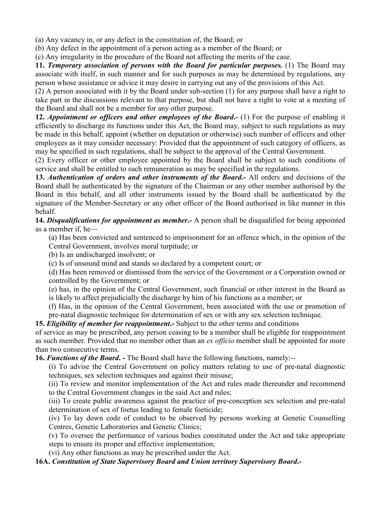(a) Any vacancy in, or any defect in the constitution of, the Board; or

(b) Any defect in the appointment of a person acting as a member of the Board; or

(c) Any irregularity in the procedure of the Board not affecting the merits of the case.

**11.** *Temporary association of persons with the Board for particular purposes.* (1) The Board may associate with itself, in such manner and for such purposes as may be determined by regulations, any person whose assistance or advice it may desire in carrying out any of the provisions of this Act.

(2) A person associated with it by the Board under sub-section (1) for any purpose shall have a right to take part in the discussions relevant to that purpose, but shall not have a right to vote at a meeting of the Board and shall not be a member for any other purpose.

**12.** *Appointment or officers and other employees of the Board***.-** (1) For the purpose of enabling it efficiently to discharge its functions under this Act, the Board may, subject to such regulations as may be made in this behalf, appoint (whether on deputation or otherwise) such number of officers and other employees as it may consider necessary: Provided that the appointment of such category of officers, as may be specified in such regulations, shall be subject to the approval of the Central Government.

(2) Every officer or other employee appointed by the Board shall be subject to such conditions of service and shall be entitled to such remuneration as may be specified in the regulations.

**13.** *Authentication of orders and other instruments of the Board***.-** All orders and decisions of the Board shall be authenticated by the signature of the Chairman or any other member authorised by the Board in this behalf, and all other instruments issued by the Board shall be authenticated by the signature of the Member-Secretary or any other officer of the Board authorised in like manner in this behalf.

**14.** *Disqualifications for appointment as member***.-** A person shall be disqualified for being appointed as a member if, he—

(a) Has been convicted and sentenced to imprisonment for an offence which, in the opinion of the Central Government, involves moral turpitude; or

(b) Is an undischarged insolvent; or

(c) Is of unsound mind and stands so declared by a competent court; or

(d) Has been removed or dismissed from the service of the Government or a Corporation owned or controlled by the Government; or

(e) has, in the opinion of the Central Government, such financial or other interest in the Board as is likely to affect prejudicially the discharge by him of his functions as a member; or

(f) Has, in the opinion of the Central Government, been associated with the use or promotion of pre-natal diagnostic technique for determination of sex or with any sex selection technique.

**15.** *Eligibility of member for reappointment***.-** Subject to the other terms and conditions

of service as may be prescribed, any person ceasing to be a member shall be eligible for reappointment as such member. Provided that no member other than an *ex officio* member shall be appointed for more than two consecutive terms.

**16.** *Functions of the Board***. -** The Board shall have the following functions, namely:--

(i) To advise the Central Government on policy matters relating to use of pre-natal diagnostic techniques, sex selection techniques and against their misuse;

(ii) To review and monitor implementation of the Act and rules made thereunder and recommend to the Central Government changes in the said Act and rules;

(iii) To create public awareness against the practice of pre-conception sex selection and pre-natal determination of sex of foetus leading to female foeticide;

(iv) To lay down code of conduct to be observed by persons working at Genetic Counselling Centres, Genetic Laboratories and Genetic Clinics;

(v) To oversee the performance of various bodies constituted under the Act and take appropriate steps to ensure its proper and effective implementation;

(vi) Any other functions as may be prescribed under the Act.

**16A.** *Constitution of State Supervisory Board and Union territory Supervisory Board***.-**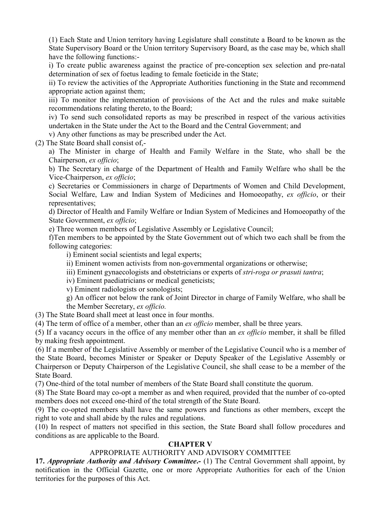(1) Each State and Union territory having Legislature shall constitute a Board to be known as the State Supervisory Board or the Union territory Supervisory Board, as the case may be, which shall have the following functions:-

i) To create public awareness against the practice of pre-conception sex selection and pre-natal determination of sex of foetus leading to female foeticide in the State;

ii) To review the activities of the Appropriate Authorities functioning in the State and recommend appropriate action against them;

iii) To monitor the implementation of provisions of the Act and the rules and make suitable recommendations relating thereto, to the Board;

iv) To send such consolidated reports as may be prescribed in respect of the various activities undertaken in the State under the Act to the Board and the Central Government; and

v) Any other functions as may be prescribed under the Act.

## (2) The State Board shall consist of,-

a) The Minister in charge of Health and Family Welfare in the State, who shall be the Chairperson, *ex officio*;

b) The Secretary in charge of the Department of Health and Family Welfare who shall be the Vice-Chairperson, *ex officio*;

c) Secretaries or Commissioners in charge of Departments of Women and Child Development, Social Welfare, Law and Indian System of Medicines and Homoeopathy, *ex officio*, or their representatives;

d) Director of Health and Family Welfare or Indian System of Medicines and Homoeopathy of the State Government, *ex officio*;

e) Three women members of Legislative Assembly or Legislative Council;

f)Ten members to be appointed by the State Government out of which two each shall be from the following categories:

i) Eminent social scientists and legal experts;

ii) Eminent women activists from non-governmental organizations or otherwise;

iii) Eminent gynaecologists and obstetricians or experts of *stri-roga or prasuti tantra*;

iv) Eminent paediatricians or medical geneticists;

v) Eminent radiologists or sonologists;

g) An officer not below the rank of Joint Director in charge of Family Welfare, who shall be the Member Secretary, *ex officio.* 

(3) The State Board shall meet at least once in four months.

(4) The term of office of a member, other than an *ex officio* member, shall be three years.

(5) If a vacancy occurs in the office of any member other than an *ex officio* member, it shall be filled by making fresh appointment.

(6) If a member of the Legislative Assembly or member of the Legislative Council who is a member of the State Board, becomes Minister or Speaker or Deputy Speaker of the Legislative Assembly or Chairperson or Deputy Chairperson of the Legislative Council, she shall cease to be a member of the State Board.

(7) One-third of the total number of members of the State Board shall constitute the quorum.

(8) The State Board may co-opt a member as and when required, provided that the number of co-opted members does not exceed one-third of the total strength of the State Board.

(9) The co-opted members shall have the same powers and functions as other members, except the right to vote and shall abide by the rules and regulations.

(10) In respect of matters not specified in this section, the State Board shall follow procedures and conditions as are applicable to the Board.

### **CHAPTER V**

# APPROPRIATE AUTHORITY AND ADVISORY COMMITTEE

**17.** *Appropriate Authority and Advisory Committee***.-** (1) The Central Government shall appoint, by notification in the Official Gazette, one or more Appropriate Authorities for each of the Union territories for the purposes of this Act.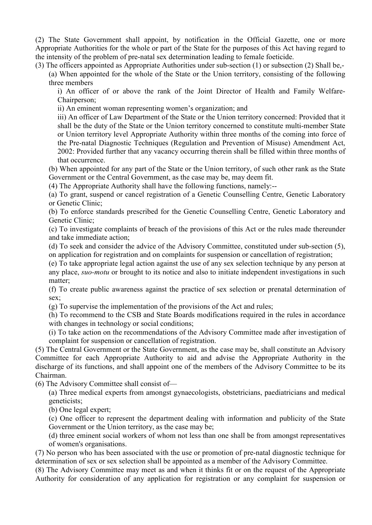(2) The State Government shall appoint, by notification in the Official Gazette, one or more Appropriate Authorities for the whole or part of the State for the purposes of this Act having regard to the intensity of the problem of pre-natal sex determination leading to female foeticide.

(3) The officers appointed as Appropriate Authorities under sub-section (1) or subsection (2) Shall be,- (a) When appointed for the whole of the State or the Union territory, consisting of the following three members

i) An officer of or above the rank of the Joint Director of Health and Family Welfare-Chairperson;

ii) An eminent woman representing women's organization; and

iii) An officer of Law Department of the State or the Union territory concerned: Provided that it shall be the duty of the State or the Union territory concerned to constitute multi-member State or Union territory level Appropriate Authority within three months of the coming into force of the Pre-natal Diagnostic Techniques (Regulation and Prevention of Misuse) Amendment Act, 2002: Provided further that any vacancy occurring therein shall be filled within three months of that occurrence.

(b) When appointed for any part of the State or the Union territory, of such other rank as the State Government or the Central Government, as the case may be, may deem fit.

(4) The Appropriate Authority shall have the following functions, namely:--

(a) To grant, suspend or cancel registration of a Genetic Counselling Centre, Genetic Laboratory or Genetic Clinic;

(b) To enforce standards prescribed for the Genetic Counselling Centre, Genetic Laboratory and Genetic Clinic;

(c) To investigate complaints of breach of the provisions of this Act or the rules made thereunder and take immediate action;

(d) To seek and consider the advice of the Advisory Committee, constituted under sub-section (5), on application for registration and on complaints for suspension or cancellation of registration;

(e) To take appropriate legal action against the use of any sex selection technique by any person at any place, *suo-motu* or brought to its notice and also to initiate independent investigations in such matter;

(f) To create public awareness against the practice of sex selection or prenatal determination of sex:

(g) To supervise the implementation of the provisions of the Act and rules;

(h) To recommend to the CSB and State Boards modifications required in the rules in accordance with changes in technology or social conditions;

(i) To take action on the recommendations of the Advisory Committee made after investigation of complaint for suspension or cancellation of registration.

(5) The Central Government or the State Government, as the case may be, shall constitute an Advisory Committee for each Appropriate Authority to aid and advise the Appropriate Authority in the discharge of its functions, and shall appoint one of the members of the Advisory Committee to be its Chairman.

(6) The Advisory Committee shall consist of—

(a) Three medical experts from amongst gynaecologists, obstetricians, paediatricians and medical geneticists;

(b) One legal expert;

(c) One officer to represent the department dealing with information and publicity of the State Government or the Union territory, as the case may be;

(d) three eminent social workers of whom not less than one shall be from amongst representatives of women's organisations.

(7) No person who has been associated with the use or promotion of pre-natal diagnostic technique for determination of sex or sex selection shall be appointed as a member of the Advisory Committee.

(8) The Advisory Committee may meet as and when it thinks fit or on the request of the Appropriate Authority for consideration of any application for registration or any complaint for suspension or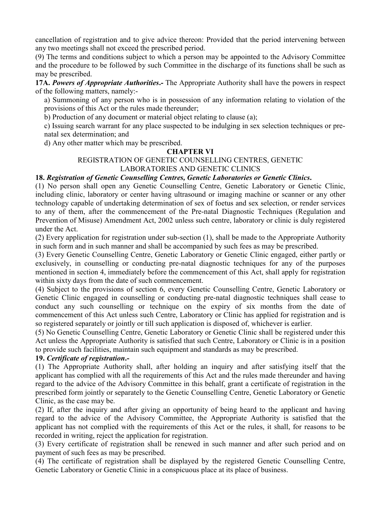cancellation of registration and to give advice thereon: Provided that the period intervening between any two meetings shall not exceed the prescribed period.

(9) The terms and conditions subject to which a person may be appointed to the Advisory Committee and the procedure to be followed by such Committee in the discharge of its functions shall be such as may be prescribed.

**17A.** *Powers of Appropriate Authorities***.-** The Appropriate Authority shall have the powers in respect of the following matters, namely:-

a) Summoning of any person who is in possession of any information relating to violation of the provisions of this Act or the rules made thereunder;

b) Production of any document or material object relating to clause (a);

c) Issuing search warrant for any place suspected to be indulging in sex selection techniques or prenatal sex determination; and

d) Any other matter which may be prescribed.

## **CHAPTER VI**

#### REGISTRATION OF GENETIC COUNSELLING CENTRES, GENETIC LABORATORIES AND GENETIC CLINICS

## **18.** *Registration of Genetic Counselling Centres, Genetic Laboratories or Genetic Clinics***.**

(1) No person shall open any Genetic Counselling Centre, Genetic Laboratory or Genetic Clinic, including clinic, laboratory or center having ultrasound or imaging machine or scanner or any other technology capable of undertaking determination of sex of foetus and sex selection, or render services to any of them, after the commencement of the Pre-natal Diagnostic Techniques (Regulation and Prevention of Misuse) Amendment Act, 2002 unless such centre, laboratory or clinic is duly registered under the Act.

(2) Every application for registration under sub-section (1), shall be made to the Appropriate Authority in such form and in such manner and shall be accompanied by such fees as may be prescribed.

(3) Every Genetic Counselling Centre, Genetic Laboratory or Genetic Clinic engaged, either partly or exclusively, in counselling or conducting pre-natal diagnostic techniques for any of the purposes mentioned in section 4, immediately before the commencement of this Act, shall apply for registration within sixty days from the date of such commencement.

(4) Subject to the provisions of section 6, every Genetic Counselling Centre, Genetic Laboratory or Genetic Clinic engaged in counselling or conducting pre-natal diagnostic techniques shall cease to conduct any such counselling or technique on the expiry of six months from the date of commencement of this Act unless such Centre, Laboratory or Clinic has applied for registration and is so registered separately or jointly or till such application is disposed of, whichever is earlier.

(5) No Genetic Counselling Centre, Genetic Laboratory or Genetic Clinic shall be registered under this Act unless the Appropriate Authority is satisfied that such Centre, Laboratory or Clinic is in a position to provide such facilities, maintain such equipment and standards as may be prescribed.

# **19.** *Certificate of registration***.-**

(1) The Appropriate Authority shall, after holding an inquiry and after satisfying itself that the applicant has complied with all the requirements of this Act and the rules made thereunder and having regard to the advice of the Advisory Committee in this behalf, grant a certificate of registration in the prescribed form jointly or separately to the Genetic Counselling Centre, Genetic Laboratory or Genetic Clinic, as the case may be.

(2) If, after the inquiry and after giving an opportunity of being heard to the applicant and having regard to the advice of the Advisory Committee, the Appropriate Authority is satisfied that the applicant has not complied with the requirements of this Act or the rules, it shall, for reasons to be recorded in writing, reject the application for registration.

(3) Every certificate of registration shall be renewed in such manner and after such period and on payment of such fees as may be prescribed.

(4) The certificate of registration shall be displayed by the registered Genetic Counselling Centre, Genetic Laboratory or Genetic Clinic in a conspicuous place at its place of business.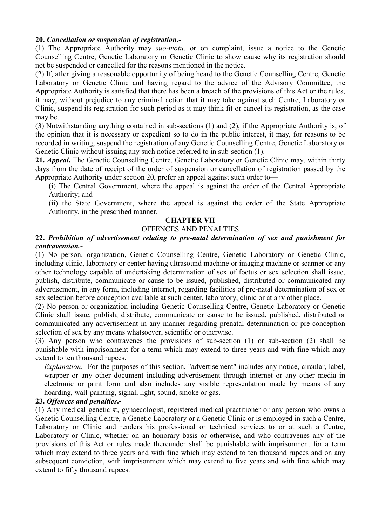### **20.** *Cancellation or suspension of registration***.-**

(1) The Appropriate Authority may *suo-motu*, or on complaint, issue a notice to the Genetic Counselling Centre, Genetic Laboratory or Genetic Clinic to show cause why its registration should not be suspended or cancelled for the reasons mentioned in the notice.

(2) If, after giving a reasonable opportunity of being heard to the Genetic Counselling Centre, Genetic Laboratory or Genetic Clinic and having regard to the advice of the Advisory Committee, the Appropriate Authority is satisfied that there has been a breach of the provisions of this Act or the rules, it may, without prejudice to any criminal action that it may take against such Centre, Laboratory or Clinic, suspend its registration for such period as it may think fit or cancel its registration, as the case may be.

(3) Notwithstanding anything contained in sub-sections (1) and (2), if the Appropriate Authority is, of the opinion that it is necessary or expedient so to do in the public interest, it may, for reasons to be recorded in writing, suspend the registration of any Genetic Counselling Centre, Genetic Laboratory or Genetic Clinic without issuing any such notice referred to in sub-section (1).

**21.** *Appeal***.** The Genetic Counselling Centre, Genetic Laboratory or Genetic Clinic may, within thirty days from the date of receipt of the order of suspension or cancellation of registration passed by the Appropriate Authority under section 20, prefer an appeal against such order to—

(i) The Central Government, where the appeal is against the order of the Central Appropriate Authority; and

(ii) the State Government, where the appeal is against the order of the State Appropriate Authority, in the prescribed manner.

# **CHAPTER VII**

### OFFENCES AND PENALTIES

### **22.** *Prohibition of advertisement relating to pre-natal determination of sex and punishment for contravention.-*

(1) No person, organization, Genetic Counselling Centre, Genetic Laboratory or Genetic Clinic, including clinic, laboratory or center having ultrasound machine or imaging machine or scanner or any other technology capable of undertaking determination of sex of foetus or sex selection shall issue, publish, distribute, communicate or cause to be issued, published, distributed or communicated any advertisement, in any form, including internet, regarding facilities of pre-natal determination of sex or sex selection before conception available at such center, laboratory, clinic or at any other place.

(2) No person or organization including Genetic Counselling Centre, Genetic Laboratory or Genetic Clinic shall issue, publish, distribute, communicate or cause to be issued, published, distributed or communicated any advertisement in any manner regarding prenatal determination or pre-conception selection of sex by any means whatsoever, scientific or otherwise.

(3) Any person who contravenes the provisions of sub-section (1) or sub-section (2) shall be punishable with imprisonment for a term which may extend to three years and with fine which may extend to ten thousand rupees.

*Explanation*.--For the purposes of this section, "advertisement" includes any notice, circular, label, wrapper or any other document including advertisement through internet or any other media in electronic or print form and also includes any visible representation made by means of any hoarding, wall-painting, signal, light, sound, smoke or gas.

### **23.** *Offences and penalties***.-**

(1) Any medical geneticist, gynaecologist, registered medical practitioner or any person who owns a Genetic Counselling Centre, a Genetic Laboratory or a Genetic Clinic or is employed in such a Centre, Laboratory or Clinic and renders his professional or technical services to or at such a Centre, Laboratory or Clinic, whether on an honorary basis or otherwise, and who contravenes any of the provisions of this Act or rules made thereunder shall be punishable with imprisonment for a term which may extend to three years and with fine which may extend to ten thousand rupees and on any subsequent conviction, with imprisonment which may extend to five years and with fine which may extend to fifty thousand rupees.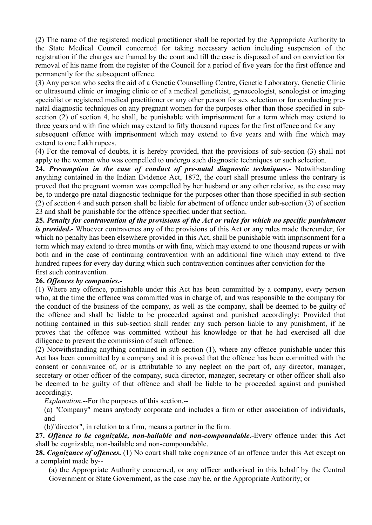(2) The name of the registered medical practitioner shall be reported by the Appropriate Authority to the State Medical Council concerned for taking necessary action including suspension of the registration if the charges are framed by the court and till the case is disposed of and on conviction for removal of his name from the register of the Council for a period of five years for the first offence and permanently for the subsequent offence.

(3) Any person who seeks the aid of a Genetic Counselling Centre, Genetic Laboratory, Genetic Clinic or ultrasound clinic or imaging clinic or of a medical geneticist, gynaecologist, sonologist or imaging specialist or registered medical practitioner or any other person for sex selection or for conducting prenatal diagnostic techniques on any pregnant women for the purposes other than those specified in subsection (2) of section 4, he shall, be punishable with imprisonment for a term which may extend to three years and with fine which may extend to fifty thousand rupees for the first offence and for any subsequent offence with imprisonment which may extend to five years and with fine which may extend to one Lakh rupees.

(4) For the removal of doubts, it is hereby provided, that the provisions of sub-section (3) shall not apply to the woman who was compelled to undergo such diagnostic techniques or such selection.

**24.** *Presumption in the case of conduct of pre-natal diagnostic techniques***.-** Notwithstanding anything contained in the Indian Evidence Act, 1872, the court shall presume unless the contrary is proved that the pregnant woman was compelled by her husband or any other relative, as the case may be, to undergo pre-natal diagnostic technique for the purposes other than those specified in sub-section (2) of section 4 and such person shall be liable for abetment of offence under sub-section (3) of section 23 and shall be punishable for the offence specified under that section.

**25.** *Penalty for contravention of the provisions of the Act or rules for which no specific punishment is provided***.-** Whoever contravenes any of the provisions of this Act or any rules made thereunder, for which no penalty has been elsewhere provided in this Act, shall be punishable with imprisonment for a term which may extend to three months or with fine, which may extend to one thousand rupees or with both and in the case of continuing contravention with an additional fine which may extend to five hundred rupees for every day during which such contravention continues after conviction for the first such contravention.

### **26.** *Offences by companies***.-**

(1) Where any offence, punishable under this Act has been committed by a company, every person who, at the time the offence was committed was in charge of, and was responsible to the company for the conduct of the business of the company, as well as the company, shall be deemed to be guilty of the offence and shall be liable to be proceeded against and punished accordingly: Provided that nothing contained in this sub-section shall render any such person liable to any punishment, if he proves that the offence was committed without his knowledge or that he had exercised all due diligence to prevent the commission of such offence.

(2) Notwithstanding anything contained in sub-section (1), where any offence punishable under this Act has been committed by a company and it is proved that the offence has been committed with the consent or connivance of, or is attributable to any neglect on the part of, any director, manager, secretary or other officer of the company, such director, manager, secretary or other officer shall also be deemed to be guilty of that offence and shall be liable to be proceeded against and punished accordingly.

*Explanation*.--For the purposes of this section,--

(a) "Company" means anybody corporate and includes a firm or other association of individuals, and

(b)"director", in relation to a firm, means a partner in the firm.

**27.** *Offence to be cognizable, non-bailable and non-compoundable***.-**Every offence under this Act shall be cognizable, non-bailable and non-compoundable.

**28.** *Cognizance of offences***.** (1) No court shall take cognizance of an offence under this Act except on a complaint made by--

(a) the Appropriate Authority concerned, or any officer authorised in this behalf by the Central Government or State Government, as the case may be, or the Appropriate Authority; or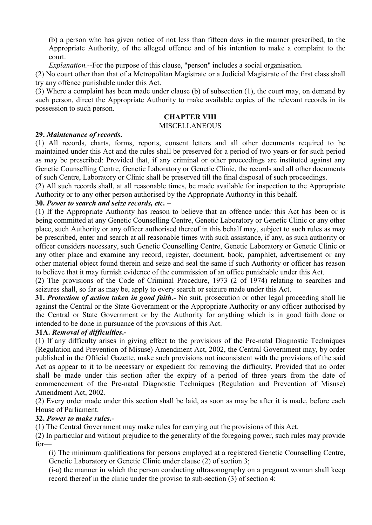(b) a person who has given notice of not less than fifteen days in the manner prescribed, to the Appropriate Authority, of the alleged offence and of his intention to make a complaint to the court.

*Explanation.*--For the purpose of this clause, "person" includes a social organisation.

(2) No court other than that of a Metropolitan Magistrate or a Judicial Magistrate of the first class shall try any offence punishable under this Act.

(3) Where a complaint has been made under clause (b) of subsection (1), the court may, on demand by such person, direct the Appropriate Authority to make available copies of the relevant records in its possession to such person.

# **CHAPTER VIII**

#### MISCELLANEOUS

# **29.** *Maintenance of records***.**

(1) All records, charts, forms, reports, consent letters and all other documents required to be maintained under this Act and the rules shall be preserved for a period of two years or for such period as may be prescribed: Provided that, if any criminal or other proceedings are instituted against any Genetic Counselling Centre, Genetic Laboratory or Genetic Clinic, the records and all other documents of such Centre, Laboratory or Clinic shall be preserved till the final disposal of such proceedings.

(2) All such records shall, at all reasonable times, be made available for inspection to the Appropriate Authority or to any other person authorised by the Appropriate Authority in this behalf.

## **30.** *Power to search and seize records, etc.* **–**

(1) If the Appropriate Authority has reason to believe that an offence under this Act has been or is being committed at any Genetic Counselling Centre, Genetic Laboratory or Genetic Clinic or any other place, such Authority or any officer authorised thereof in this behalf may, subject to such rules as may be prescribed, enter and search at all reasonable times with such assistance, if any, as such authority or officer considers necessary, such Genetic Counselling Centre, Genetic Laboratory or Genetic Clinic or any other place and examine any record, register, document, book, pamphlet, advertisement or any other material object found therein and seize and seal the same if such Authority or officer has reason to believe that it may furnish evidence of the commission of an office punishable under this Act.

(2) The provisions of the Code of Criminal Procedure, 1973 (2 of 1974) relating to searches and seizures shall, so far as may be, apply to every search or seizure made under this Act.

**31.** *Protection of action taken in good faith***.-** No suit, prosecution or other legal proceeding shall lie against the Central or the State Government or the Appropriate Authority or any officer authorised by the Central or State Government or by the Authority for anything which is in good faith done or intended to be done in pursuance of the provisions of this Act.

### **31A.** *Removal of difficulties***.-**

(1) If any difficulty arises in giving effect to the provisions of the Pre-natal Diagnostic Techniques (Regulation and Prevention of Misuse) Amendment Act, 2002, the Central Government may, by order published in the Official Gazette, make such provisions not inconsistent with the provisions of the said Act as appear to it to be necessary or expedient for removing the difficulty. Provided that no order shall be made under this section after the expiry of a period of three years from the date of commencement of the Pre-natal Diagnostic Techniques (Regulation and Prevention of Misuse) Amendment Act, 2002.

(2) Every order made under this section shall be laid, as soon as may be after it is made, before each House of Parliament.

### **32.** *Power to make rules***.-**

(1) The Central Government may make rules for carrying out the provisions of this Act.

(2) In particular and without prejudice to the generality of the foregoing power, such rules may provide for—

(i) The minimum qualifications for persons employed at a registered Genetic Counselling Centre, Genetic Laboratory or Genetic Clinic under clause (2) of section 3;

(i-a) the manner in which the person conducting ultrasonography on a pregnant woman shall keep record thereof in the clinic under the proviso to sub-section (3) of section 4;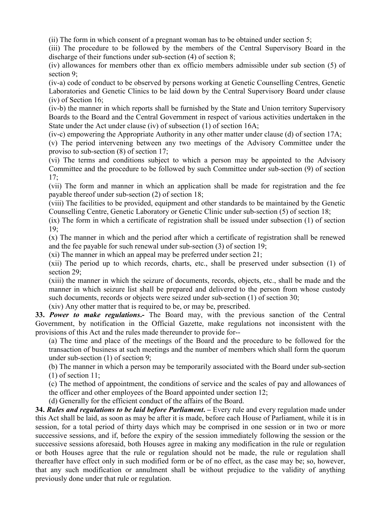(ii) The form in which consent of a pregnant woman has to be obtained under section 5;

(iii) The procedure to be followed by the members of the Central Supervisory Board in the discharge of their functions under sub-section (4) of section 8;

(iv) allowances for members other than ex officio members admissible under sub section (5) of section 9;

(iv-a) code of conduct to be observed by persons working at Genetic Counselling Centres, Genetic Laboratories and Genetic Clinics to be laid down by the Central Supervisory Board under clause (iv) of Section 16;

(iv-b) the manner in which reports shall be furnished by the State and Union territory Supervisory Boards to the Board and the Central Government in respect of various activities undertaken in the State under the Act under clause (iv) of subsection (1) of section 16A;

(iv-c) empowering the Appropriate Authority in any other matter under clause (d) of section 17A;

(v) The period intervening between any two meetings of the Advisory Committee under the proviso to sub-section (8) of section 17;

(vi) The terms and conditions subject to which a person may be appointed to the Advisory Committee and the procedure to be followed by such Committee under sub-section (9) of section 17;

(vii) The form and manner in which an application shall be made for registration and the fee payable thereof under sub-section (2) of section 18;

(viii) The facilities to be provided, equipment and other standards to be maintained by the Genetic Counselling Centre, Genetic Laboratory or Genetic Clinic under sub-section (5) of section 18;

(ix) The form in which a certificate of registration shall be issued under subsection (1) of section 19;

(x) The manner in which and the period after which a certificate of registration shall be renewed and the fee payable for such renewal under sub-section (3) of section 19;

(xi) The manner in which an appeal may be preferred under section 21;

(xii) The period up to which records, charts, etc., shall be preserved under subsection (1) of section 29;

(xiii) the manner in which the seizure of documents, records, objects, etc., shall be made and the manner in which seizure list shall be prepared and delivered to the person from whose custody such documents, records or objects were seized under sub-section (1) of section 30;

(xiv) Any other matter that is required to be, or may be, prescribed.

**33.** *Power to make regulations***.-** The Board may, with the previous sanction of the Central Government, by notification in the Official Gazette, make regulations not inconsistent with the provisions of this Act and the rules made thereunder to provide for--

(a) The time and place of the meetings of the Board and the procedure to be followed for the transaction of business at such meetings and the number of members which shall form the quorum under sub-section (1) of section 9;

(b) The manner in which a person may be temporarily associated with the Board under sub-section  $(1)$  of section 11;

(c) The method of appointment, the conditions of service and the scales of pay and allowances of

the officer and other employees of the Board appointed under section 12;

(d) Generally for the efficient conduct of the affairs of the Board.

**34.** *Rules and regulations to be laid before Parliament***. –** Every rule and every regulation made under this Act shall be laid, as soon as may be after it is made, before each House of Parliament, while it is in session, for a total period of thirty days which may be comprised in one session or in two or more successive sessions, and if, before the expiry of the session immediately following the session or the successive sessions aforesaid, both Houses agree in making any modification in the rule or regulation or both Houses agree that the rule or regulation should not be made, the rule or regulation shall thereafter have effect only in such modified form or be of no effect, as the case may be; so, however, that any such modification or annulment shall be without prejudice to the validity of anything previously done under that rule or regulation.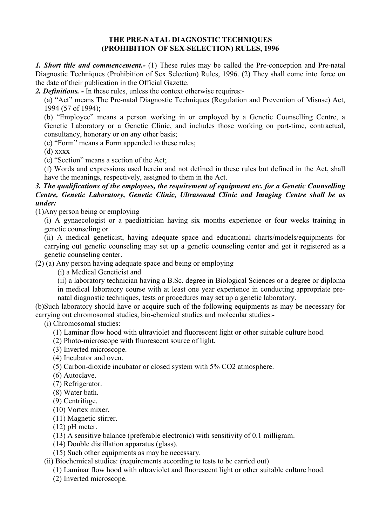### **THE PRE-NATAL DIAGNOSTIC TECHNIQUES (PROHIBITION OF SEX-SELECTION) RULES, 1996**

*1. Short title and commencement.-* (1) These rules may be called the Pre-conception and Pre-natal Diagnostic Techniques (Prohibition of Sex Selection) Rules, 1996. (2) They shall come into force on the date of their publication in the Official Gazette.

*2. Definitions. -* In these rules, unless the context otherwise requires:-

(a) "Act" means The Pre-natal Diagnostic Techniques (Regulation and Prevention of Misuse) Act, 1994 (57 of 1994);

(b) "Employee" means a person working in or employed by a Genetic Counselling Centre, a Genetic Laboratory or a Genetic Clinic, and includes those working on part-time, contractual, consultancy, honorary or on any other basis;

(c) "Form" means a Form appended to these rules;

(d) xxxx

(e) "Section" means a section of the Act;

(f) Words and expressions used herein and not defined in these rules but defined in the Act, shall have the meanings, respectively, assigned to them in the Act.

# *3. The qualifications of the employees, the requirement of equipment etc. for a Genetic Counselling Centre, Genetic Laboratory, Genetic Clinic, Ultrasound Clinic and Imaging Centre shall be as under:*

(1)Any person being or employing

(i) A gynaecologist or a paediatrician having six months experience or four weeks training in genetic counseling or

(ii) A medical geneticist, having adequate space and educational charts/models/equipments for carrying out genetic counseling may set up a genetic counseling center and get it registered as a genetic counseling center.

(2) (a) Any person having adequate space and being or employing

(i) a Medical Geneticist and

(ii) a laboratory technician having a B.Sc. degree in Biological Sciences or a degree or diploma in medical laboratory course with at least one year experience in conducting appropriate prenatal diagnostic techniques, tests or procedures may set up a genetic laboratory.

(b)Such laboratory should have or acquire such of the following equipments as may be necessary for carrying out chromosomal studies, bio-chemical studies and molecular studies:-

(i) Chromosomal studies:

(1) Laminar flow hood with ultraviolet and fluorescent light or other suitable culture hood.

(2) Photo-microscope with fluorescent source of light.

- (3) Inverted microscope.
- (4) Incubator and oven.

(5) Carbon-dioxide incubator or closed system with 5% CO2 atmosphere.

(6) Autoclave.

(7) Refrigerator.

(8) Water bath.

(9) Centrifuge.

(10) Vortex mixer.

(11) Magnetic stirrer.

(12) pH meter.

(13) A sensitive balance (preferable electronic) with sensitivity of 0.1 milligram.

(14) Double distillation apparatus (glass).

(15) Such other equipments as may be necessary.

(ii) Biochemical studies: (requirements according to tests to be carried out)

(1) Laminar flow hood with ultraviolet and fluorescent light or other suitable culture hood.

(2) Inverted microscope.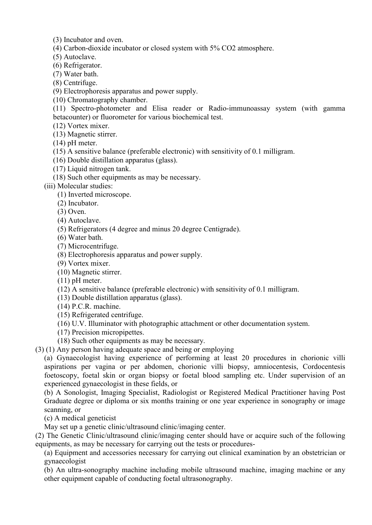(3) Incubator and oven.

(4) Carbon-dioxide incubator or closed system with 5% CO2 atmosphere.

(5) Autoclave.

(6) Refrigerator.

(7) Water bath.

(8) Centrifuge.

(9) Electrophoresis apparatus and power supply.

(10) Chromatography chamber.

(11) Spectro-photometer and Elisa reader or Radio-immunoassay system (with gamma betacounter) or fluorometer for various biochemical test.

(12) Vortex mixer.

(13) Magnetic stirrer.

(14) pH meter.

(15) A sensitive balance (preferable electronic) with sensitivity of 0.1 milligram.

(16) Double distillation apparatus (glass).

(17) Liquid nitrogen tank.

(18) Such other equipments as may be necessary.

(iii) Molecular studies:

(1) Inverted microscope.

(2) Incubator.

(3) Oven.

(4) Autoclave.

(5) Refrigerators (4 degree and minus 20 degree Centigrade).

(6) Water bath.

(7) Microcentrifuge.

(8) Electrophoresis apparatus and power supply.

(9) Vortex mixer.

(10) Magnetic stirrer.

(11) pH meter.

(12) A sensitive balance (preferable electronic) with sensitivity of 0.1 milligram.

(13) Double distillation apparatus (glass).

(14) P.C.R. machine.

(15) Refrigerated centrifuge.

(16) U.V. Illuminator with photographic attachment or other documentation system.

(17) Precision micropipettes.

(18) Such other equipments as may be necessary.

(3) (1) Any person having adequate space and being or employing

(a) Gynaecologist having experience of performing at least 20 procedures in chorionic villi aspirations per vagina or per abdomen, chorionic villi biopsy, amniocentesis, Cordocentesis foetoscopy, foetal skin or organ biopsy or foetal blood sampling etc. Under supervision of an experienced gynaecologist in these fields, or

(b) A Sonologist, Imaging Specialist, Radiologist or Registered Medical Practitioner having Post Graduate degree or diploma or six months training or one year experience in sonography or image scanning, or

(c) A medical geneticist

May set up a genetic clinic/ultrasound clinic/imaging center.

(2) The Genetic Clinic/ultrasound clinic/imaging center should have or acquire such of the following equipments, as may be necessary for carrying out the tests or procedures-

(a) Equipment and accessories necessary for carrying out clinical examination by an obstetrician or gynaecologist

(b) An ultra-sonography machine including mobile ultrasound machine, imaging machine or any other equipment capable of conducting foetal ultrasonography.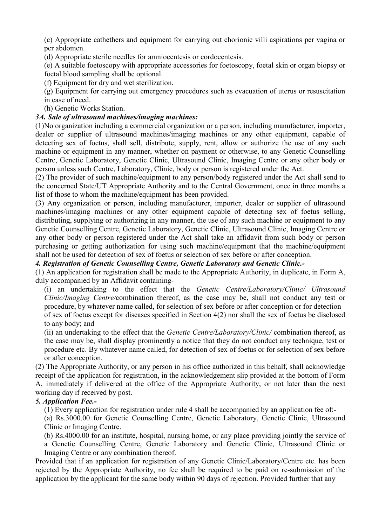(c) Appropriate cathethers and equipment for carrying out chorionic villi aspirations per vagina or per abdomen.

(d) Appropriate sterile needles for amniocentesis or cordocentesis.

(e) A suitable foetoscopy with appropriate accessories for foetoscopy, foetal skin or organ biopsy or foetal blood sampling shall be optional.

(f) Equipment for dry and wet sterilization.

(g) Equipment for carrying out emergency procedures such as evacuation of uterus or resuscitation in case of need.

(h) Genetic Works Station.

## *3A. Sale of ultrasound machines/imaging machines:*

(1)No organization including a commercial organization or a person, including manufacturer, importer, dealer or supplier of ultrasound machines/imaging machines or any other equipment, capable of detecting sex of foetus, shall sell, distribute, supply, rent, allow or authorize the use of any such machine or equipment in any manner, whether on payment or otherwise, to any Genetic Counselling Centre, Genetic Laboratory, Genetic Clinic, Ultrasound Clinic, Imaging Centre or any other body or person unless such Centre, Laboratory, Clinic, body or person is registered under the Act.

(2) The provider of such machine/equipment to any person/body registered under the Act shall send to the concerned State/UT Appropriate Authority and to the Central Government, once in three months a list of those to whom the machine/equipment has been provided.

(3) Any organization or person, including manufacturer, importer, dealer or supplier of ultrasound machines/imaging machines or any other equipment capable of detecting sex of foetus selling, distributing, supplying or authorizing in any manner, the use of any such machine or equipment to any Genetic Counselling Centre, Genetic Laboratory, Genetic Clinic, Ultrasound Clinic, Imaging Centre or any other body or person registered under the Act shall take an affidavit from such body or person purchasing or getting authorization for using such machine/equipment that the machine/equipment shall not be used for detection of sex of foetus or selection of sex before or after conception.

# *4. Registration of Genetic Counselling Centre, Genetic Laboratory and Genetic Clinic.-*

(1) An application for registration shall be made to the Appropriate Authority, in duplicate, in Form A, duly accompanied by an Affidavit containing-

(i) an undertaking to the effect that the *Genetic Centre/Laboratory/Clinic/ Ultrasound Clinic/Imaging Centre/*combination thereof, as the case may be, shall not conduct any test or procedure, by whatever name called, for selection of sex before or after conception or for detection of sex of foetus except for diseases specified in Section 4(2) nor shall the sex of foetus be disclosed to any body; and

(ii) an undertaking to the effect that the *Genetic Centre/Laboratory/Clinic/* combination thereof, as the case may be, shall display prominently a notice that they do not conduct any technique, test or procedure etc. By whatever name called, for detection of sex of foetus or for selection of sex before or after conception.

(2) The Appropriate Authority, or any person in his office authorized in this behalf, shall acknowledge receipt of the application for registration, in the acknowledgement slip provided at the bottom of Form A, immediately if delivered at the office of the Appropriate Authority, or not later than the next working day if received by post.

# *5. Application Fee.-*

(1) Every application for registration under rule 4 shall be accompanied by an application fee of:-

(a) Rs.3000.00 for Genetic Counselling Centre, Genetic Laboratory, Genetic Clinic, Ultrasound Clinic or Imaging Centre.

(b) Rs.4000.00 for an institute, hospital, nursing home, or any place providing jointly the service of a Genetic Counselling Centre, Genetic Laboratory and Genetic Clinic, Ultrasound Clinic or Imaging Centre or any combination thereof.

Provided that if an application for registration of any Genetic Clinic/Laboratory/Centre etc. has been rejected by the Appropriate Authority, no fee shall be required to be paid on re-submission of the application by the applicant for the same body within 90 days of rejection. Provided further that any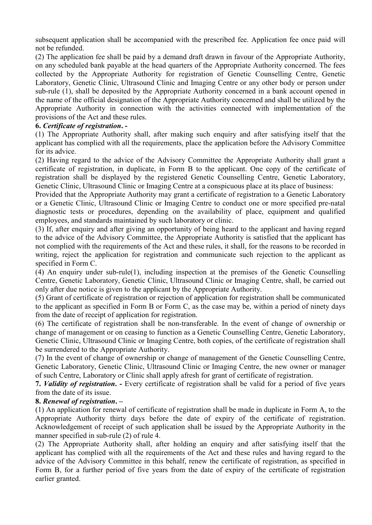subsequent application shall be accompanied with the prescribed fee. Application fee once paid will not be refunded.

(2) The application fee shall be paid by a demand draft drawn in favour of the Appropriate Authority, on any scheduled bank payable at the head quarters of the Appropriate Authority concerned. The fees collected by the Appropriate Authority for registration of Genetic Counselling Centre, Genetic Laboratory, Genetic Clinic, Ultrasound Clinic and Imaging Centre or any other body or person under sub-rule (1), shall be deposited by the Appropriate Authority concerned in a bank account opened in the name of the official designation of the Appropriate Authority concerned and shall be utilized by the Appropriate Authority in connection with the activities connected with implementation of the provisions of the Act and these rules.

# **6.** *Certificate of registration***. -**

(1) The Appropriate Authority shall, after making such enquiry and after satisfying itself that the applicant has complied with all the requirements, place the application before the Advisory Committee for its advice.

(2) Having regard to the advice of the Advisory Committee the Appropriate Authority shall grant a certificate of registration, in duplicate, in Form B to the applicant. One copy of the certificate of registration shall be displayed by the registered Genetic Counselling Centre, Genetic Laboratory, Genetic Clinic, Ultrasound Clinic or Imaging Centre at a conspicuous place at its place of business:

Provided that the Appropriate Authority may grant a certificate of registration to a Genetic Laboratory or a Genetic Clinic, Ultrasound Clinic or Imaging Centre to conduct one or more specified pre-natal diagnostic tests or procedures, depending on the availability of place, equipment and qualified employees, and standards maintained by such laboratory or clinic.

(3) If, after enquiry and after giving an opportunity of being heard to the applicant and having regard to the advice of the Advisory Committee, the Appropriate Authority is satisfied that the applicant has not complied with the requirements of the Act and these rules, it shall, for the reasons to be recorded in writing, reject the application for registration and communicate such rejection to the applicant as specified in Form C.

(4) An enquiry under sub-rule(1), including inspection at the premises of the Genetic Counselling Centre, Genetic Laboratory, Genetic Clinic, Ultrasound Clinic or Imaging Centre, shall, be carried out only after due notice is given to the applicant by the Appropriate Authority.

(5) Grant of certificate of registration or rejection of application for registration shall be communicated to the applicant as specified in Form B or Form C, as the case may be, within a period of ninety days from the date of receipt of application for registration.

(6) The certificate of registration shall be non-transferable. In the event of change of ownership or change of management or on ceasing to function as a Genetic Counselling Centre, Genetic Laboratory, Genetic Clinic, Ultrasound Clinic or Imaging Centre, both copies, of the certificate of registration shall be surrendered to the Appropriate Authority.

(7) In the event of change of ownership or change of management of the Genetic Counselling Centre, Genetic Laboratory, Genetic Clinic, Ultrasound Clinic or Imaging Centre, the new owner or manager of such Centre, Laboratory or Clinic shall apply afresh for grant of certificate of registration.

**7.** *Validity of registration***. -** Every certificate of registration shall be valid for a period of five years from the date of its issue.

# **8.** *Renewal of registration***. –**

(1) An application for renewal of certificate of registration shall be made in duplicate in Form A, to the Appropriate Authority thirty days before the date of expiry of the certificate of registration. Acknowledgement of receipt of such application shall be issued by the Appropriate Authority in the manner specified in sub-rule (2) of rule 4.

(2) The Appropriate Authority shall, after holding an enquiry and after satisfying itself that the applicant has complied with all the requirements of the Act and these rules and having regard to the advice of the Advisory Committee in this behalf, renew the certificate of registration, as specified in Form B, for a further period of five years from the date of expiry of the certificate of registration earlier granted.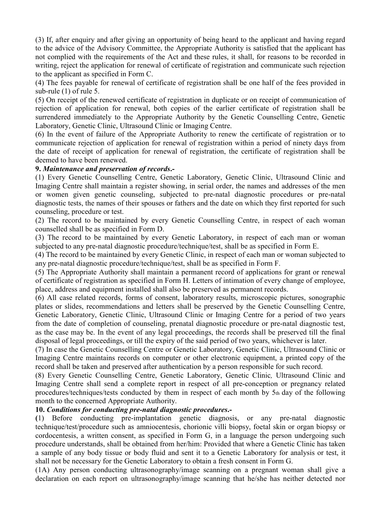(3) If, after enquiry and after giving an opportunity of being heard to the applicant and having regard to the advice of the Advisory Committee, the Appropriate Authority is satisfied that the applicant has not complied with the requirements of the Act and these rules, it shall, for reasons to be recorded in writing, reject the application for renewal of certificate of registration and communicate such rejection to the applicant as specified in Form C.

(4) The fees payable for renewal of certificate of registration shall be one half of the fees provided in sub-rule (1) of rule 5.

(5) On receipt of the renewed certificate of registration in duplicate or on receipt of communication of rejection of application for renewal, both copies of the earlier certificate of registration shall be surrendered immediately to the Appropriate Authority by the Genetic Counselling Centre, Genetic Laboratory, Genetic Clinic, Ultrasound Clinic or Imaging Centre.

(6) In the event of failure of the Appropriate Authority to renew the certificate of registration or to communicate rejection of application for renewal of registration within a period of ninety days from the date of receipt of application for renewal of registration, the certificate of registration shall be deemed to have been renewed.

## **9.** *Maintenance and preservation of records***.-**

(1) Every Genetic Counselling Centre, Genetic Laboratory, Genetic Clinic, Ultrasound Clinic and Imaging Centre shall maintain a register showing, in serial order, the names and addresses of the men or women given genetic counseling, subjected to pre-natal diagnostic procedures or pre-natal diagnostic tests, the names of their spouses or fathers and the date on which they first reported for such counseling, procedure or test.

(2) The record to be maintained by every Genetic Counselling Centre, in respect of each woman counselled shall be as specified in Form D.

(3) The record to be maintained by every Genetic Laboratory, in respect of each man or woman subjected to any pre-natal diagnostic procedure/technique/test, shall be as specified in Form E.

(4) The record to be maintained by every Genetic Clinic, in respect of each man or woman subjected to any pre-natal diagnostic procedure/technique/test, shall be as specified in Form F.

(5) The Appropriate Authority shall maintain a permanent record of applications for grant or renewal of certificate of registration as specified in Form H. Letters of intimation of every change of employee, place, address and equipment installed shall also be preserved as permanent records.

(6) All case related records, forms of consent, laboratory results, microscopic pictures, sonographic plates or slides, recommendations and letters shall be preserved by the Genetic Counselling Centre, Genetic Laboratory, Genetic Clinic, Ultrasound Clinic or Imaging Centre for a period of two years from the date of completion of counseling, prenatal diagnostic procedure or pre-natal diagnostic test, as the case may be. In the event of any legal proceedings, the records shall be preserved till the final disposal of legal proceedings, or till the expiry of the said period of two years, whichever is later.

(7) In case the Genetic Counselling Centre or Genetic Laboratory, Genetic Clinic, Ultrasound Clinic or Imaging Centre maintains records on computer or other electronic equipment, a printed copy of the record shall be taken and preserved after authentication by a person responsible for such record.

(8) Every Genetic Counselling Centre, Genetic Laboratory, Genetic Clinic*,* Ultrasound Clinic and Imaging Centre shall send a complete report in respect of all pre-conception or pregnancy related procedures/techniques/tests conducted by them in respect of each month by 5th day of the following month to the concerned Appropriate Authority.

# **10.** *Conditions for conducting pre-natal diagnostic procedures***.-**

**(**1) Before conducting pre-implantation genetic diagnosis, or any pre-natal diagnostic technique/test/procedure such as amniocentesis, chorionic villi biopsy, foetal skin or organ biopsy or cordocentesis, a written consent, as specified in Form G, in a language the person undergoing such procedure understands, shall be obtained from her/him: Provided that where a Genetic Clinic has taken a sample of any body tissue or body fluid and sent it to a Genetic Laboratory for analysis or test, it shall not be necessary for the Genetic Laboratory to obtain a fresh consent in Form G.

(1A) Any person conducting ultrasonography/image scanning on a pregnant woman shall give a declaration on each report on ultrasonography/image scanning that he/she has neither detected nor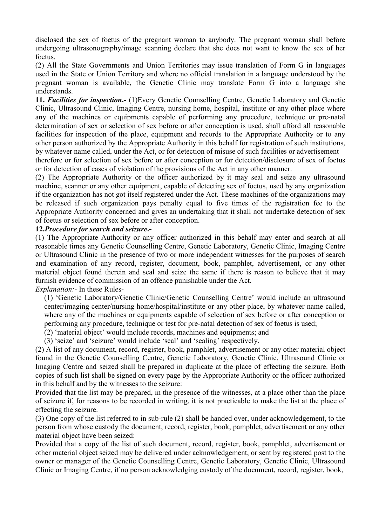disclosed the sex of foetus of the pregnant woman to anybody. The pregnant woman shall before undergoing ultrasonography/image scanning declare that she does not want to know the sex of her foetus.

(2) All the State Governments and Union Territories may issue translation of Form G in languages used in the State or Union Territory and where no official translation in a language understood by the pregnant woman is available, the Genetic Clinic may translate Form G into a language she understands.

**11.** *Facilities for inspection***.-** (1)Every Genetic Counselling Centre, Genetic Laboratory and Genetic Clinic, Ultrasound Clinic, Imaging Centre, nursing home, hospital, institute or any other place where any of the machines or equipments capable of performing any procedure, technique or pre-natal determination of sex or selection of sex before or after conception is used, shall afford all reasonable facilities for inspection of the place, equipment and records to the Appropriate Authority or to any other person authorized by the Appropriate Authority in this behalf for registration of such institutions, by whatever name called, under the Act, or for detection of misuse of such facilities or advertisement

therefore or for selection of sex before or after conception or for detection/disclosure of sex of foetus or for detection of cases of violation of the provisions of the Act in any other manner.

(2) The Appropriate Authority or the officer authorized by it may seal and seize any ultrasound machine, scanner or any other equipment, capable of detecting sex of foetus, used by any organization if the organization has not got itself registered under the Act. These machines of the organizations may be released if such organization pays penalty equal to five times of the registration fee to the Appropriate Authority concerned and gives an undertaking that it shall not undertake detection of sex of foetus or selection of sex before or after conception.

### **12.***Procedure for search and seizure***.-**

(1) The Appropriate Authority or any officer authorized in this behalf may enter and search at all reasonable times any Genetic Counselling Centre, Genetic Laboratory, Genetic Clinic, Imaging Centre or Ultrasound Clinic in the presence of two or more independent witnesses for the purposes of search and examination of any record, register, document, book, pamphlet, advertisement, or any other material object found therein and seal and seize the same if there is reason to believe that it may furnish evidence of commission of an offence punishable under the Act.

### *Explanation:*- In these Rules-

(1) 'Genetic Laboratory/Genetic Clinic/Genetic Counselling Centre' would include an ultrasound center/imaging center/nursing home/hospital/institute or any other place, by whatever name called, where any of the machines or equipments capable of selection of sex before or after conception or performing any procedure, technique or test for pre-natal detection of sex of foetus is used;

(2) 'material object' would include records, machines and equipments; and

(3) 'seize' and 'seizure' would include 'seal' and 'sealing' respectively.

(2) A list of any document, record, register, book, pamphlet, advertisement or any other material object found in the Genetic Counselling Centre, Genetic Laboratory, Genetic Clinic, Ultrasound Clinic or Imaging Centre and seized shall be prepared in duplicate at the place of effecting the seizure. Both copies of such list shall be signed on every page by the Appropriate Authority or the officer authorized in this behalf and by the witnesses to the seizure:

Provided that the list may be prepared, in the presence of the witnesses, at a place other than the place of seizure if, for reasons to be recorded in writing, it is not practicable to make the list at the place of effecting the seizure.

(3) One copy of the list referred to in sub-rule (2) shall be handed over, under acknowledgement, to the person from whose custody the document, record, register, book, pamphlet, advertisement or any other material object have been seized:

Provided that a copy of the list of such document, record, register, book, pamphlet, advertisement or other material object seized may be delivered under acknowledgement, or sent by registered post to the owner or manager of the Genetic Counselling Centre, Genetic Laboratory, Genetic Clinic, Ultrasound Clinic or Imaging Centre, if no person acknowledging custody of the document, record, register, book,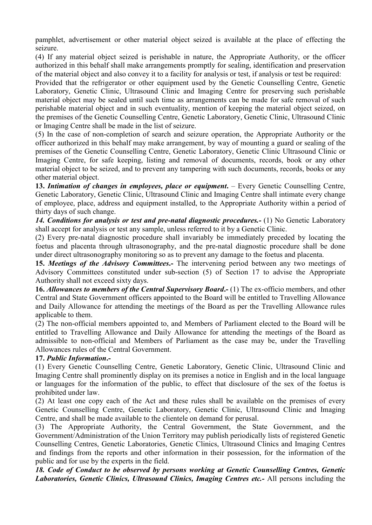pamphlet, advertisement or other material object seized is available at the place of effecting the seizure.

(4) If any material object seized is perishable in nature, the Appropriate Authority, or the officer authorized in this behalf shall make arrangements promptly for sealing, identification and preservation of the material object and also convey it to a facility for analysis or test, if analysis or test be required:

Provided that the refrigerator or other equipment used by the Genetic Counselling Centre, Genetic Laboratory, Genetic Clinic, Ultrasound Clinic and Imaging Centre for preserving such perishable material object may be sealed until such time as arrangements can be made for safe removal of such perishable material object and in such eventuality, mention of keeping the material object seized, on the premises of the Genetic Counselling Centre, Genetic Laboratory, Genetic Clinic, Ultrasound Clinic or Imaging Centre shall be made in the list of seizure.

(5) In the case of non-completion of search and seizure operation, the Appropriate Authority or the officer authorized in this behalf may make arrangement, by way of mounting a guard or sealing of the premises of the Genetic Counselling Centre, Genetic Laboratory, Genetic Clinic Ultrasound Clinic or Imaging Centre, for safe keeping, listing and removal of documents, records, book or any other material object to be seized, and to prevent any tampering with such documents, records, books or any other material object.

**13.** *Intimation of changes in employees, place or equipment***.** – Every Genetic Counselling Centre, Genetic Laboratory, Genetic Clinic, Ultrasound Clinic and Imaging Centre shall intimate every change of employee, place, address and equipment installed, to the Appropriate Authority within a period of thirty days of such change.

*14. Conditions for analysis or test and pre-natal diagnostic procedures.-* (1) No Genetic Laboratory shall accept for analysis or test any sample, unless referred to it by a Genetic Clinic.

(2) Every pre-natal diagnostic procedure shall invariably be immediately preceded by locating the foetus and placenta through ultrasonography, and the pre-natal diagnostic procedure shall be done under direct ultrasonography monitoring so as to prevent any damage to the foetus and placenta.

**15.** *Meetings of the Advisory Committees***.-** The intervening period between any two meetings of Advisory Committees constituted under sub-section (5) of Section 17 to advise the Appropriate Authority shall not exceed sixty days.

**16.** *Allowances to members of the Central Supervisory Board***.-** (1) The ex-officio members, and other Central and State Government officers appointed to the Board will be entitled to Travelling Allowance and Daily Allowance for attending the meetings of the Board as per the Travelling Allowance rules applicable to them.

(2) The non-official members appointed to, and Members of Parliament elected to the Board will be entitled to Travelling Allowance and Daily Allowance for attending the meetings of the Board as admissible to non-official and Members of Parliament as the case may be, under the Travelling Allowances rules of the Central Government.

# **17.** *Public Information***.-**

(1) Every Genetic Counselling Centre, Genetic Laboratory, Genetic Clinic, Ultrasound Clinic and Imaging Centre shall prominently display on its premises a notice in English and in the local language or languages for the information of the public, to effect that disclosure of the sex of the foetus is prohibited under law.

(2) At least one copy each of the Act and these rules shall be available on the premises of every Genetic Counselling Centre, Genetic Laboratory, Genetic Clinic, Ultrasound Clinic and Imaging Centre, and shall be made available to the clientele on demand for perusal.

(3) The Appropriate Authority, the Central Government, the State Government, and the Government/Administration of the Union Territory may publish periodically lists of registered Genetic Counselling Centres, Genetic Laboratories, Genetic Clinics, Ultrasound Clinics and Imaging Centres and findings from the reports and other information in their possession, for the information of the public and for use by the experts in the field.

*18. Code of Conduct to be observed by persons working at Genetic Counselling Centres, Genetic Laboratories, Genetic Clinics, Ultrasound Clinics, Imaging Centres etc.-* All persons including the